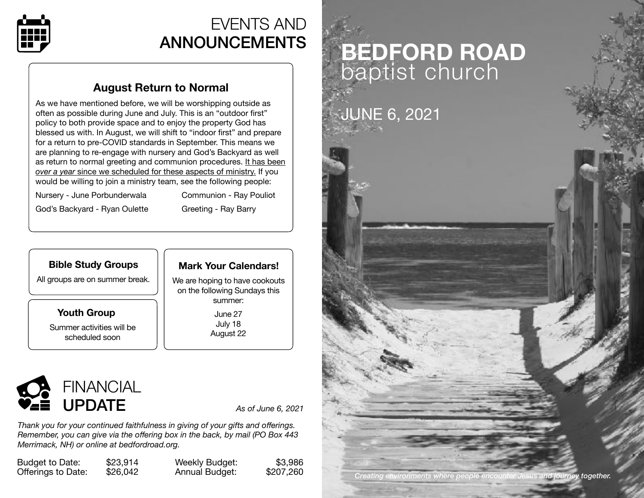

# EVENTS AND ANNOUNCEMENTS

### **August Return to Normal**

As we have mentioned before, we will be worshipping outside as often as possible during June and July. This is an "outdoor first" policy to both provide space and to enjoy the property God has blessed us with. In August, we will shift to "indoor first" and prepare for a return to pre-COVID standards in September. This means we are planning to re-engage with nursery and God's Backyard as well as return to normal greeting and communion procedures. It has been *over a year* since we scheduled for these aspects of ministry. If you would be willing to join a ministry team, see the following people:

Nursery - June Porbunderwala Communion - Ray Pouliot

God's Backyard - Ryan Oulette **Greeting - Ray Barry** 

#### **Bible Study Groups**

All groups are on summer break.

**Youth Group**  Summer activities will be scheduled soon

#### **Mark Your Calendars!**

We are hoping to have cookouts on the following Sundays this summer:

> June 27 July 18 August 22



*Thank you for your continued faithfulness in giving of your gifts and offerings. Remember, you can give via the offering box in the back, by mail (PO Box 443 Merrimack, NH) or online at [bedfordroad.org.](http://bedfordroad.org)*

Budget to Date: \$23,914 Offerings to Date: \$26,042 Weekly Budget: \$3,986 Annual Budget: \$207,260

# **BEDFORD ROAD**  baptist church

JUNE 6, 2021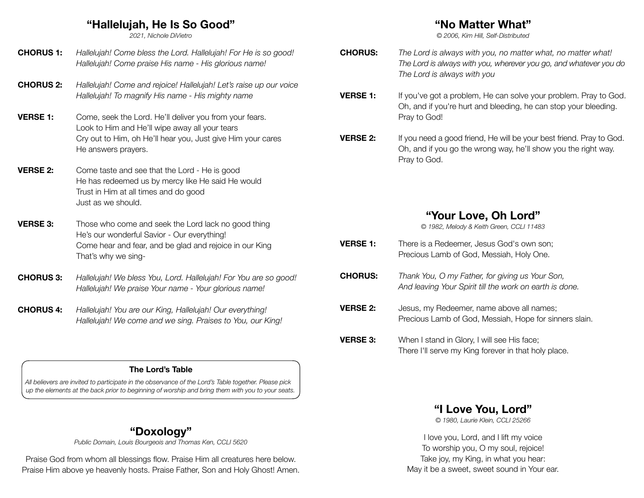#### **"Hallelujah, He Is So Good"**

*2021, Nichole DiVietro*

- **CHORUS 1:** *Hallelujah! Come bless the Lord. Hallelujah! For He is so good! Hallelujah! Come praise His name - His glorious name!*
- **CHORUS 2:** *Hallelujah! Come and rejoice! Hallelujah! Let's raise up our voice Hallelujah! To magnify His name - His mighty name*
- **VERSE 1:** Come, seek the Lord. He'll deliver you from your fears. Look to Him and He'll wipe away all your tears Cry out to Him, oh He'll hear you, Just give Him your cares He answers prayers.
- **VERSE 2:** Come taste and see that the Lord He is good He has redeemed us by mercy like He said He would Trust in Him at all times and do good Just as we should.
- **VERSE 3:** Those who come and seek the Lord lack no good thing He's our wonderful Savior - Our everything! Come hear and fear, and be glad and rejoice in our King That's why we sing-
- **CHORUS 3:** *Hallelujah! We bless You, Lord. Hallelujah! For You are so good! Hallelujah! We praise Your name - Your glorious name!*
- **CHORUS 4:** *Hallelujah! You are our King, Hallelujah! Our everything! Hallelujah! We come and we sing. Praises to You, our King!*

#### **The Lord's Table**

*All believers are invited to participate in the observance of the Lord's Table together. Please pick up the elements at the back prior to beginning of worship and bring them with you to your seats.*

#### **"Doxology"**

*Public Domain, Louis Bourgeois and Thomas Ken, CCLI 5620*

Praise God from whom all blessings flow. Praise Him all creatures here below. Praise Him above ye heavenly hosts. Praise Father, Son and Holy Ghost! Amen.

#### **"No Matter What"**

*© 2006, Kim Hill, Self-Distributed*

- **CHORUS:** *The Lord is always with you, no matter what, no matter what! The Lord is always with you, wherever you go, and whatever you do The Lord is always with you*
- **VERSE 1:** If you've got a problem, He can solve your problem. Pray to God. Oh, and if you're hurt and bleeding, he can stop your bleeding. Pray to God!
- **VERSE 2:** If you need a good friend, He will be your best friend. Pray to God. Oh, and if you go the wrong way, he'll show you the right way. Pray to God.

#### **"Your Love, Oh Lord"**

*© 1982, Melody & Keith Green, CCLI 11483*

- **VERSE 1:** There is a Redeemer, Jesus God's own son: Precious Lamb of God, Messiah, Holy One.
- **CHORUS:** *Thank You, O my Father, for giving us Your Son, And leaving Your Spirit till the work on earth is done.*
- **VERSE 2:** Jesus, my Redeemer, name above all names; Precious Lamb of God, Messiah, Hope for sinners slain.
- **VERSE 3:** When I stand in Glory, I will see His face; There I'll serve my King forever in that holy place.

#### **"I Love You, Lord"**

*© 1980, Laurie Klein, CCLI 25266*

I love you, Lord, and I lift my voice To worship you, O my soul, rejoice! Take joy, my King, in what you hear: May it be a sweet, sweet sound in Your ear.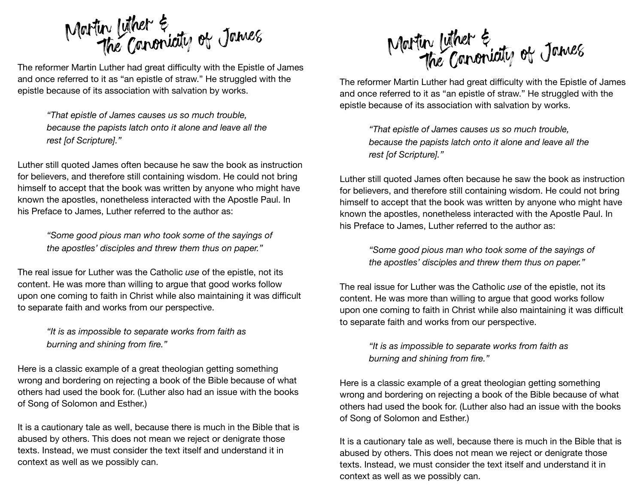The Canonicity of James Martin Luther &

The reformer Martin Luther had great difficulty with the Epistle of James and once referred to it as "an epistle of straw." He struggled with the epistle because of its association with salvation by works.

*"That epistle of James causes us so much trouble, because the papists latch onto it alone and leave all the rest [of Scripture]."* 

Luther still quoted James often because he saw the book as instruction for believers, and therefore still containing wisdom. He could not bring himself to accept that the book was written by anyone who might have known the apostles, nonetheless interacted with the Apostle Paul. In his Preface to James, Luther referred to the author as:

> *"Some good pious man who took some of the sayings of the apostles' disciples and threw them thus on paper."*

The real issue for Luther was the Catholic *use* of the epistle, not its content. He was more than willing to argue that good works follow upon one coming to faith in Christ while also maintaining it was difficult to separate faith and works from our perspective.

*"It is as impossible to separate works from faith as burning and shining from fire."* 

Here is a classic example of a great theologian getting something wrong and bordering on rejecting a book of the Bible because of what others had used the book for. (Luther also had an issue with the books of Song of Solomon and Esther.)

It is a cautionary tale as well, because there is much in the Bible that is abused by others. This does not mean we reject or denigrate those texts. Instead, we must consider the text itself and understand it in context as well as we possibly can.

The Canonicity of James Martin Luther &

The reformer Martin Luther had great difficulty with the Epistle of James and once referred to it as "an epistle of straw." He struggled with the epistle because of its association with salvation by works.

*"That epistle of James causes us so much trouble, because the papists latch onto it alone and leave all the rest [of Scripture]."* 

Luther still quoted James often because he saw the book as instruction for believers, and therefore still containing wisdom. He could not bring himself to accept that the book was written by anyone who might have known the apostles, nonetheless interacted with the Apostle Paul. In his Preface to James, Luther referred to the author as:

*"Some good pious man who took some of the sayings of the apostles' disciples and threw them thus on paper."* 

The real issue for Luther was the Catholic *use* of the epistle, not its content. He was more than willing to argue that good works follow upon one coming to faith in Christ while also maintaining it was difficult to separate faith and works from our perspective.

> *"It is as impossible to separate works from faith as burning and shining from fire."*

Here is a classic example of a great theologian getting something wrong and bordering on rejecting a book of the Bible because of what others had used the book for. (Luther also had an issue with the books of Song of Solomon and Esther.)

It is a cautionary tale as well, because there is much in the Bible that is abused by others. This does not mean we reject or denigrate those texts. Instead, we must consider the text itself and understand it in context as well as we possibly can.